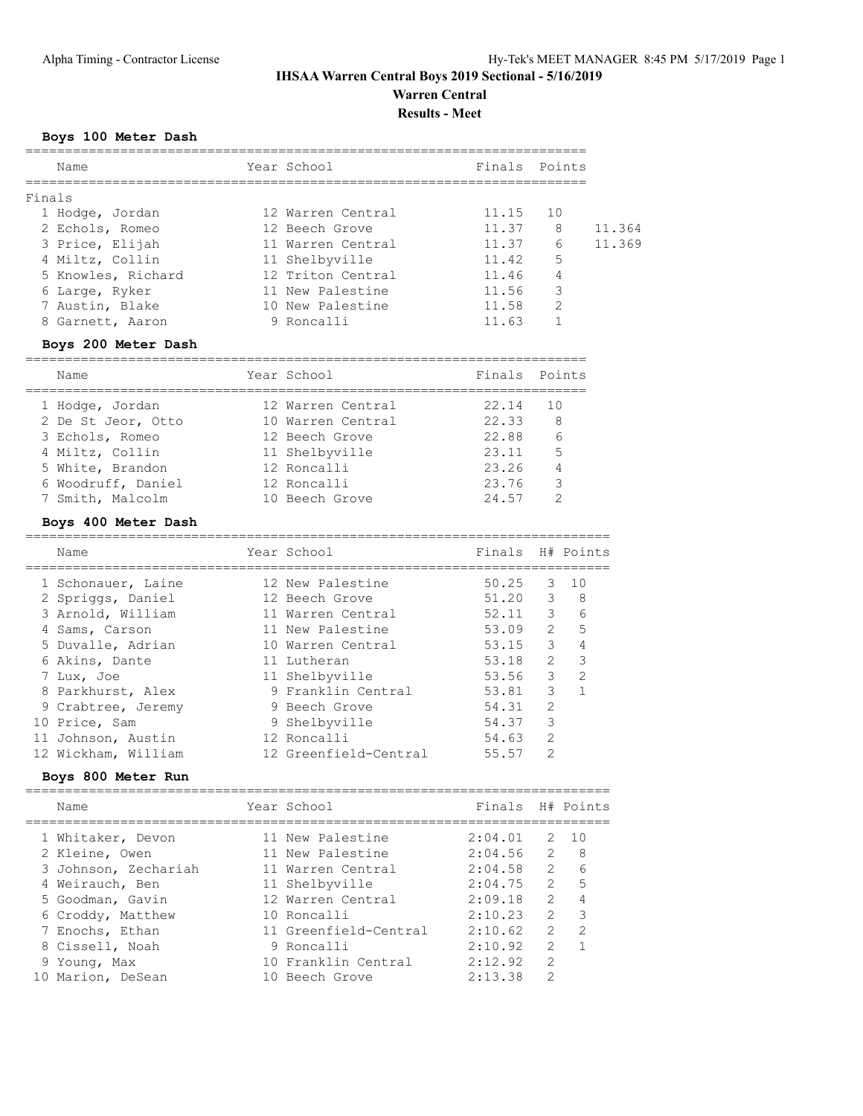# **IHSAA Warren Central Boys 2019 Sectional - 5/16/2019 Warren Central**

**Results - Meet**

# **Boys 100 Meter Dash**

| Name               | Year School       | Finals Points |    |        |
|--------------------|-------------------|---------------|----|--------|
| Finals             |                   |               |    |        |
| 1 Hodge, Jordan    | 12 Warren Central | 11.15         | 10 |        |
| 2 Echols, Romeo    | 12 Beech Grove    | 11.37         | 8  | 11.364 |
| 3 Price, Elijah    | 11 Warren Central | 11.37         | 6  | 11.369 |
| 4 Miltz, Collin    | 11 Shelbyville    | 11.42         | 5  |        |
| 5 Knowles, Richard | 12 Triton Central | 11.46         | 4  |        |
| 6 Large, Ryker     | 11 New Palestine  | 11.56         | 3  |        |
| 7 Austin, Blake    | 10 New Palestine  | 11.58         | 2  |        |
| 8 Garnett, Aaron   | 9 Roncalli        | 11.63         |    |        |
|                    |                   |               |    |        |

# **Boys 200 Meter Dash**

| Name               | Year School       | Finals Points |     |
|--------------------|-------------------|---------------|-----|
| 1 Hodge, Jordan    | 12 Warren Central | 22.14         | 1 O |
| 2 De St Jeor, Otto | 10 Warren Central | 22.33         | - 8 |
| 3 Echols, Romeo    | 12 Beech Grove    | 22.88         | 6   |
| 4 Miltz, Collin    | 11 Shelbyville    | 23.11         | 5   |
| 5 White, Brandon   | 12 Roncalli       | 23.26         | 4   |
| 6 Woodruff, Daniel | 12 Roncalli       | 23.76         | 3   |
| 7 Smith, Malcolm   | 10 Beech Grove    | 24.57         | っ   |

# **Boys 400 Meter Dash**

| Name                | Year School           | Finals H# Points |                |               |
|---------------------|-----------------------|------------------|----------------|---------------|
| 1 Schonauer, Laine  | 12 New Palestine      | 50.25            | 3              | 10            |
| 2 Spriggs, Daniel   | 12 Beech Grove        | 51.20            | 3              | 8             |
| 3 Arnold, William   | 11 Warren Central     | 52.11            | $\mathcal{E}$  | 6             |
| 4 Sams, Carson      | 11 New Palestine      | 53.09            | $\overline{2}$ | 5             |
| 5 Duvalle, Adrian   | 10 Warren Central     | 53.15            | 3              | 4             |
| 6 Akins, Dante      | 11 Lutheran           | 53.18            | $\mathcal{L}$  | 3             |
| 7 Lux, Joe          | 11 Shelbyville        | 53.56            | 3              | $\mathcal{P}$ |
| 8 Parkhurst, Alex   | 9 Franklin Central    | 53.81            | 3              |               |
| 9 Crabtree, Jeremy  | 9 Beech Grove         | 54.31            | $\mathfrak{D}$ |               |
| 10 Price, Sam       | 9 Shelbyville         | 54.37            | 3              |               |
| 11 Johnson, Austin  | 12 Roncalli           | 54.63            | $\mathfrak{D}$ |               |
| 12 Wickham, William | 12 Greenfield-Central | 55.57            | $\mathcal{P}$  |               |

### **Boys 800 Meter Run**

|  | Name                 | Year School           | Finals H# Points |                |               |
|--|----------------------|-----------------------|------------------|----------------|---------------|
|  | 1 Whitaker, Devon    | 11 New Palestine      | 2:04.01          |                | 2 10          |
|  | 2 Kleine, Owen       | 11 New Palestine      | 2:04.56          | $\mathcal{L}$  | - 8           |
|  | 3 Johnson, Zechariah | 11 Warren Central     | 2:04.58          | 2              | 6             |
|  | 4 Weirauch, Ben      | 11 Shelbyville        | 2:04.75          | $2^{\circ}$    | $5^{\circ}$   |
|  | 5 Goodman, Gavin     | 12 Warren Central     | 2:09.18          | $\mathcal{P}$  | 4             |
|  | 6 Croddy, Matthew    | 10 Roncalli           | 2:10.23          | $\mathcal{P}$  | 3             |
|  | 7 Enochs, Ethan      | 11 Greenfield-Central | 2:10.62          | $\overline{2}$ | $\mathcal{L}$ |
|  | 8 Cissell, Noah      | 9 Roncalli            | 2:10.92          | $\mathcal{L}$  |               |
|  | 9 Young, Max         | 10 Franklin Central   | 2:12.92          | $\mathcal{L}$  |               |
|  | 10 Marion, DeSean    | 10 Beech Grove        | 2:13.38          | $\mathcal{P}$  |               |
|  |                      |                       |                  |                |               |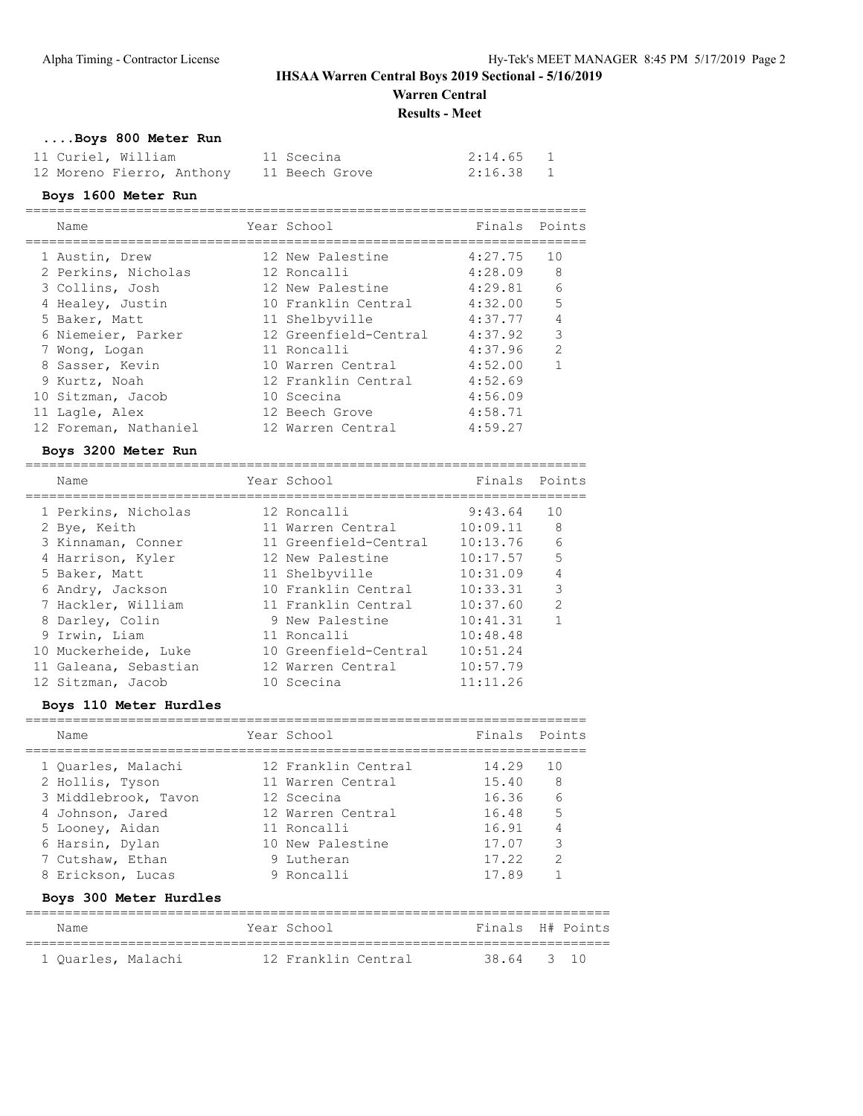# **IHSAA Warren Central Boys 2019 Sectional - 5/16/2019 Warren Central**

**Results - Meet**

# **....Boys 800 Meter Run**

| 11 Curiel, William        | 11 Scecina     | 2:14.65 1 |  |
|---------------------------|----------------|-----------|--|
| 12 Moreno Fierro, Anthony | 11 Beech Grove | 2:16.38   |  |

### **Boys 1600 Meter Run**

| Name                  | Year School           | Finals Points |                |
|-----------------------|-----------------------|---------------|----------------|
| 1 Austin, Drew        | 12 New Palestine      | 4:27.75       | 10             |
| 2 Perkins, Nicholas   | 12 Roncalli           | 4:28.09       | 8              |
| 3 Collins, Josh       | 12 New Palestine      | 4:29.81       | 6              |
| 4 Healey, Justin      | 10 Franklin Central   | 4:32.00       | 5              |
| 5 Baker, Matt         | 11 Shelbyville        | 4:37.77       | $\overline{4}$ |
| 6 Niemeier, Parker    | 12 Greenfield-Central | 4:37.92       | 3              |
| 7 Wong, Logan         | 11 Roncalli           | 4:37.96       | $\mathcal{P}$  |
| 8 Sasser, Kevin       | 10 Warren Central     | 4:52.00       | 1              |
| 9 Kurtz, Noah         | 12 Franklin Central   | 4:52.69       |                |
| 10 Sitzman, Jacob     | 10 Scecina            | 4:56.09       |                |
| 11 Lagle, Alex        | 12 Beech Grove        | 4:58.71       |                |
| 12 Foreman, Nathaniel | 12 Warren Central     | 4:59.27       |                |

# **Boys 3200 Meter Run**

| Name                  | Year School           | Finals   | Points         |
|-----------------------|-----------------------|----------|----------------|
| 1 Perkins, Nicholas   | 12 Roncalli           | 9:43.64  | 10             |
| 2 Bye, Keith          | 11 Warren Central     | 10:09.11 | - 8            |
| 3 Kinnaman, Conner    | 11 Greenfield-Central | 10:13.76 | 6              |
| 4 Harrison, Kyler     | 12 New Palestine      | 10:17.57 | 5              |
| 5 Baker, Matt         | 11 Shelbyville        | 10:31.09 | $\overline{4}$ |
| 6 Andry, Jackson      | 10 Franklin Central   | 10:33.31 | 3              |
| 7 Hackler, William    | 11 Franklin Central   | 10:37.60 | $\mathcal{P}$  |
| 8 Darley, Colin       | 9 New Palestine       | 10:41.31 |                |
| 9 Irwin, Liam         | 11 Roncalli           | 10:48.48 |                |
| 10 Muckerheide, Luke  | 10 Greenfield-Central | 10:51.24 |                |
| 11 Galeana, Sebastian | 12 Warren Central     | 10:57.79 |                |
| 12 Sitzman, Jacob     | 10 Scecina            | 11:11.26 |                |

# **Boys 110 Meter Hurdles**

| Name                   | Year School         | Finals Points |               |
|------------------------|---------------------|---------------|---------------|
| 1 Ouarles, Malachi     | 12 Franklin Central | 14.29         | 10            |
| 2 Hollis, Tyson        | 11 Warren Central   | 15.40         | 8             |
| 3 Middlebrook, Tavon   | 12 Scecina          | 16.36         | 6             |
| 4 Johnson, Jared       | 12 Warren Central   | 16.48         | 5             |
| 5 Looney, Aidan        | 11 Roncalli         | 16.91         | 4             |
| 6 Harsin, Dylan        | 10 New Palestine    | 17.07         | 3             |
| 7 Cutshaw, Ethan       | 9 Iutheran          | 17.22         | $\mathcal{P}$ |
| 8 Erickson, Lucas      | 9 Roncalli          | 17.89         |               |
| Boys 300 Meter Hurdles |                     |               |               |

| Name               | Year School         | Finals H# Points |  |
|--------------------|---------------------|------------------|--|
| 1 Ouarles, Malachi | 12 Franklin Central | 38.64 3 10       |  |
|                    |                     |                  |  |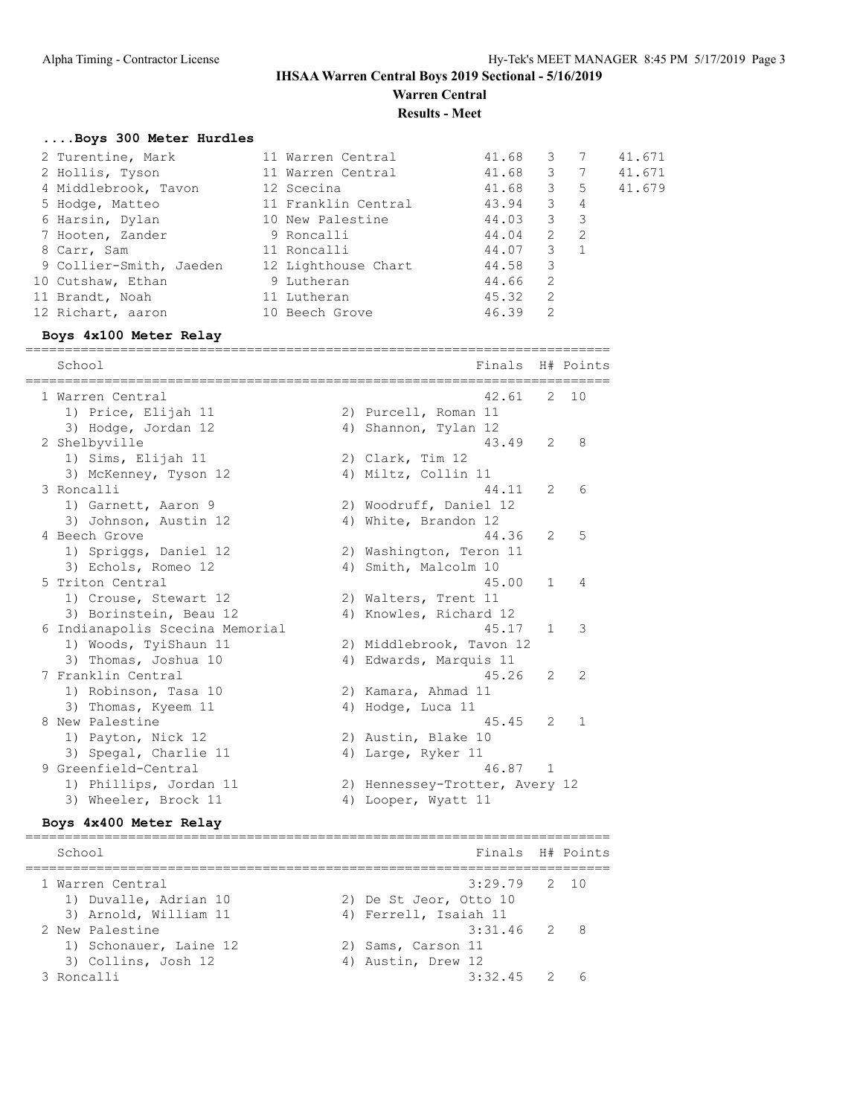**Warren Central Results - Meet**

#### **....Boys 300 Meter Hurdles**

|                                                                                                                                                                                             |                                                                                                            |                                                                                      | 3                                         |                                                               | 41.671                                                                                 |
|---------------------------------------------------------------------------------------------------------------------------------------------------------------------------------------------|------------------------------------------------------------------------------------------------------------|--------------------------------------------------------------------------------------|-------------------------------------------|---------------------------------------------------------------|----------------------------------------------------------------------------------------|
|                                                                                                                                                                                             |                                                                                                            |                                                                                      |                                           |                                                               | 41.671                                                                                 |
|                                                                                                                                                                                             |                                                                                                            |                                                                                      |                                           |                                                               | 41.679                                                                                 |
|                                                                                                                                                                                             |                                                                                                            |                                                                                      | $\mathbf{3}$                              |                                                               |                                                                                        |
|                                                                                                                                                                                             |                                                                                                            |                                                                                      |                                           |                                                               |                                                                                        |
|                                                                                                                                                                                             |                                                                                                            |                                                                                      | 2                                         |                                                               |                                                                                        |
|                                                                                                                                                                                             |                                                                                                            |                                                                                      |                                           |                                                               |                                                                                        |
|                                                                                                                                                                                             |                                                                                                            |                                                                                      | 3                                         |                                                               |                                                                                        |
|                                                                                                                                                                                             |                                                                                                            |                                                                                      | -2                                        |                                                               |                                                                                        |
|                                                                                                                                                                                             |                                                                                                            |                                                                                      | -2                                        |                                                               |                                                                                        |
|                                                                                                                                                                                             |                                                                                                            |                                                                                      | 2                                         |                                                               |                                                                                        |
| 2 Turentine, Mark<br>2 Hollis, Tyson<br>4 Middlebrook, Tavon<br>5 Hodge, Matteo<br>6 Harsin, Dylan<br>7 Hooten, Zander<br>9 Collier-Smith, Jaeden<br>10 Cutshaw, Ethan<br>12 Richart, aaron | 12 Scecina<br>10 New Palestine<br>9 Roncalli<br>11 Roncalli<br>9 Lutheran<br>11 Lutheran<br>10 Beech Grove | 11 Warren Central<br>11 Warren Central<br>11 Franklin Central<br>12 Lighthouse Chart | 41.68<br>44.58<br>44.66<br>45.32<br>46.39 | 43.94<br>44.03<br>$\overline{\mathbf{3}}$<br>44.04<br>44.07 3 | 41.68 3 7<br>41.68 3 5<br>$\overline{4}$<br>$\overline{\phantom{a}}$<br>$\overline{2}$ |

#### **Boys 4x100 Meter Relay**

========================================================================== School **Finals H#** Points ========================================================================== 1 Warren Central 42.61 2 10 1) Price, Elijah 11 2) Purcell, Roman 11 3) Hodge, Jordan 12 (4) Shannon, Tylan 12 2 Shelbyville 43.49 2 8 1) Sims, Elijah 11 2) Clark, Tim 12 3) McKenney, Tyson 12 (4) Miltz, Collin 11 3 Roncalli 44.11 2 6 1) Garnett, Aaron 9 2) Woodruff, Daniel 12 3) Johnson, Austin 12 4) White, Brandon 12 4 Beech Grove 44.36 2 5 1) Spriggs, Daniel 12 2) Washington, Teron 11 3) Echols, Romeo 12 (4) Smith, Malcolm 10 5 Triton Central 45.00 1 4 1) Crouse, Stewart 12 2) Walters, Trent 11 3) Borinstein, Beau 12 4) Knowles, Richard 12 6 Indianapolis Scecina Memorial 45.17 1 3 1) Woods, TyiShaun 11 2) Middlebrook, Tavon 12 3) Thomas, Joshua 10 4) Edwards, Marquis 11 7 Franklin Central 45.26 2 2 1) Robinson, Tasa 10 2) Kamara, Ahmad 11 3) Thomas, Kyeem 11 4) Hodge, Luca 11 8 New Palestine 45.45 2 1 1) Payton, Nick 12 2) Austin, Blake 10 3) Spegal, Charlie 11 (4) Large, Ryker 11 9 Greenfield-Central 46.87 1 1) Phillips, Jordan 11 2) Hennessey-Trotter, Avery 12 3) Wheeler, Brock 11 4) Looper, Wyatt 11

#### **Boys 4x400 Meter Relay**

========================================================================== School **Finals H# Points** ========================================================================== 1 Warren Central 3:29.79 2 10 1) Duvalle, Adrian 10 2) De St Jeor, Otto 10 3) Arnold, William 11 4) Ferrell, Isaiah 11 2 New Palestine 3:31.46 2 8 1) Schonauer, Laine 12 2) Sams, Carson 11 3) Collins, Josh 12 4) Austin, Drew 12 3 Roncalli 3:32.45 2 6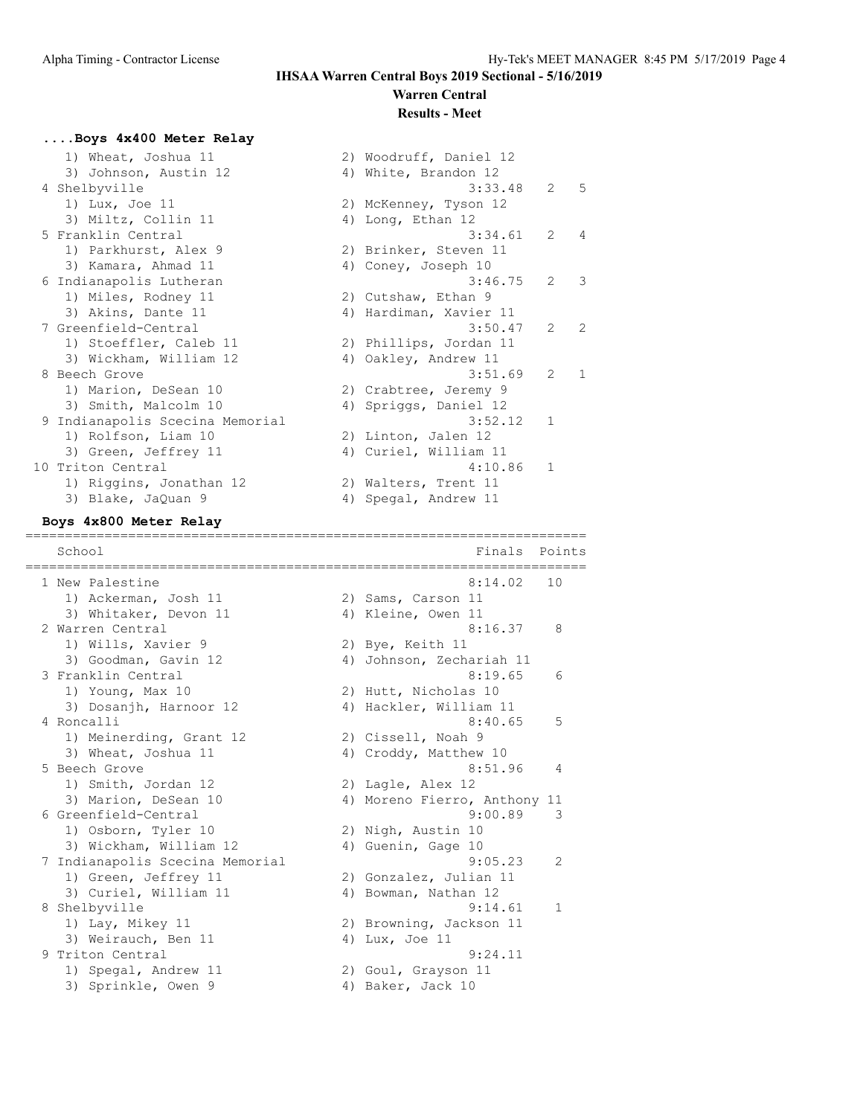#### **Warren Central Results - Meet**

#### **....Boys 4x400 Meter Relay**

| 1) Wheat, Joshua 11             | 2) Woodruff, Daniel 12 |             |                |
|---------------------------------|------------------------|-------------|----------------|
| 3) Johnson, Austin 12           | 4) White, Brandon 12   |             |                |
| 4 Shelbyville                   | 3:33.48                | $2^{\circ}$ | $-5$           |
| 1) Lux, Joe 11                  | 2) McKenney, Tyson 12  |             |                |
| 3) Miltz, Collin 11             | 4) Long, Ethan 12      |             |                |
| 5 Franklin Central              | 3:34.61                | 2           | $\overline{4}$ |
| 1) Parkhurst, Alex 9            | 2) Brinker, Steven 11  |             |                |
| 3) Kamara, Ahmad 11             | 4) Coney, Joseph 10    |             |                |
| 6 Indianapolis Lutheran         | 3:46.75                | 2           | $\mathcal{E}$  |
| 1) Miles, Rodney 11             | 2) Cutshaw, Ethan 9    |             |                |
| 3) Akins, Dante 11              | 4) Hardiman, Xavier 11 |             |                |
| 7 Greenfield-Central            | 3:50.47                | 2           | 2              |
| 1) Stoeffler, Caleb 11          | 2) Phillips, Jordan 11 |             |                |
| 3) Wickham, William 12          | 4) Oakley, Andrew 11   |             |                |
| 8 Beech Grove                   | 3:51.69                | 2           | 1              |
| 1) Marion, DeSean 10            | 2) Crabtree, Jeremy 9  |             |                |
| 3) Smith, Malcolm 10            | 4) Spriggs, Daniel 12  |             |                |
| 9 Indianapolis Scecina Memorial | 3:52.12                | 1           |                |
| 1) Rolfson, Liam 10             | 2) Linton, Jalen 12    |             |                |
| 3) Green, Jeffrey 11            | 4) Curiel, William 11  |             |                |
| 10 Triton Central               | 4:10.86                | 1           |                |
| 1) Riggins, Jonathan 12         | 2) Walters, Trent 11   |             |                |
| 3) Blake, JaQuan 9              | 4) Spegal, Andrew 11   |             |                |

#### **Boys 4x800 Meter Relay**

======================================================================= Finals Points ======================================================================= 1 New Palestine 2:14.02 10 1) Ackerman, Josh 11 2) Sams, Carson 11 3) Whitaker, Devon 11 4) Kleine, Owen 11 2 Warren Central 2 2 Warren 1982 16.37 8 1) Wills, Xavier 9 2) Bye, Keith 11 3) Goodman, Gavin 12 4) Johnson, Zechariah 11 3 Franklin Central 8:19.65 6 1) Young, Max 10 2) Hutt, Nicholas 10 3) Dosanjh, Harnoor 12 4) Hackler, William 11 4 Roncalli 8:40.65 5 1) Meinerding, Grant 12 2) Cissell, Noah 9 3) Wheat, Joshua 11 4) Croddy, Matthew 10 5 Beech Grove 8:51.96 4 1) Smith, Jordan 12 2) Lagle, Alex 12 3) Marion, DeSean 10 4) Moreno Fierro, Anthony 11 6 Greenfield-Central 9:00.89 3 1) Osborn, Tyler 10 2) Nigh, Austin 10 3) Wickham, William 12 (4) Guenin, Gage 10 7 Indianapolis Scecina Memorial 9:05.23 2 1) Green, Jeffrey 11 2) Gonzalez, Julian 11 3) Curiel, William 11 4) Bowman, Nathan 12 8 Shelbyville 1 and 19:14.61 1 1) Lay, Mikey 11 2) Browning, Jackson 11 3) Weirauch, Ben 11 (4) Lux, Joe 11 9 Triton Central 9:24.11 1) Spegal, Andrew 11 2) Goul, Grayson 11 3) Sprinkle, Owen 9 4) Baker, Jack 10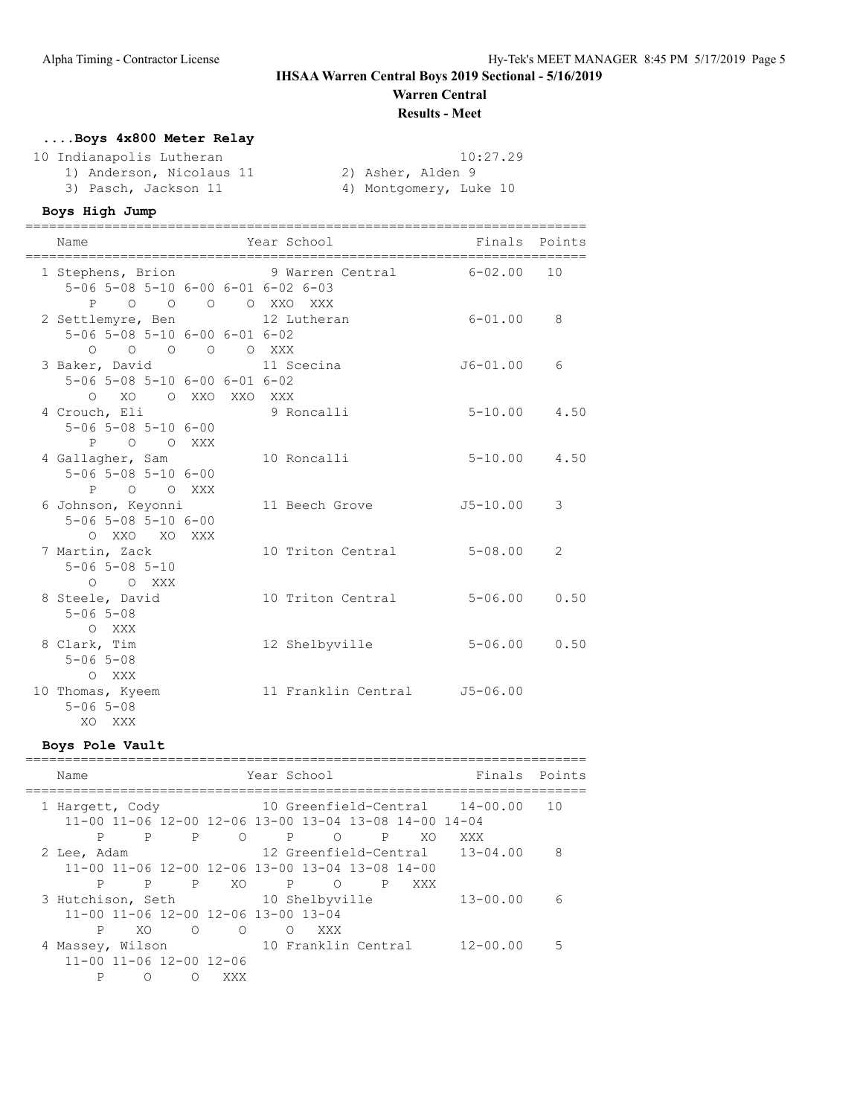# **Warren Central**

# **Results - Meet**

# **....Boys 4x800 Meter Relay**

| 10 Indianapolis Lutheran | 10:27.29               |
|--------------------------|------------------------|
| 1) Anderson, Nicolaus 11 | 2) Asher, Alden 9      |
| 3) Pasch, Jackson 11     | 4) Montgomery, Luke 10 |

#### **Boys High Jump**

| Name                                                                        | ======== | Year School                                   | Finals Points    |      |
|-----------------------------------------------------------------------------|----------|-----------------------------------------------|------------------|------|
| $5-06$ $5-08$ $5-10$ $6-00$ $6-01$ $6-02$ $6-03$                            |          | 1 Stephens, Brion 9 Warren Central 6-02.00 10 |                  |      |
| 2 Settlemyre, Ben 12 Lutheran                                               |          | P O O O O XXO XXX                             | $6 - 01.00$      | 8    |
| 5-06 5-08 5-10 6-00 6-01 6-02<br>0 0 0 0 0 XXX                              |          |                                               |                  |      |
| $5 - 06$ $5 - 08$ $5 - 10$ $6 - 00$ $6 - 01$ $6 - 02$<br>O XO O XXO XXO XXX |          | 3 Baker, David 11 Scecina                     | J6-01.00         | 6    |
| 4 Crouch, Eli 9 Roncalli<br>$5 - 06$ $5 - 08$ $5 - 10$ $6 - 00$             |          |                                               | $5 - 10.00$ 4.50 |      |
| P O O XXX<br>4 Gallagher, Sam                                               |          | 10 Roncalli                                   | $5 - 10.00$ 4.50 |      |
| $5 - 06$ $5 - 08$ $5 - 10$ $6 - 00$<br>P O O XXX                            |          | 6 Johnson, Keyonni             11 Beech Grove | J5-10.00         | 3    |
| $5 - 06$ $5 - 08$ $5 - 10$ $6 - 00$<br>O XXO XO XXX                         |          |                                               |                  |      |
| 7 Martin, Zack<br>$5 - 06$ $5 - 08$ $5 - 10$                                |          | 10 Triton Central                             | $5 - 08.00$      | 2    |
| O O XXX<br>8 Steele, David<br>$5 - 06$ $5 - 08$                             |          | 10 Triton Central                             | $5 - 06.00$      | 0.50 |
| O XXX<br>8 Clark, Tim<br>$5 - 06$ $5 - 08$                                  |          | 12 Shelbyville                                | $5 - 06.00$      | 0.50 |
| O XXX<br>10 Thomas, Kyeem<br>$5 - 06$ $5 - 08$<br>XQ XXX                    |          | 11 Franklin Central 55-06.00                  |                  |      |

#### **Boys Pole Vault**

### ======================================================================= Name Year School Finals Points ======================================================================= 1 Hargett, Cody 10 Greenfield-Central 14-00.00 10 11-00 11-06 12-00 12-06 13-00 13-04 13-08 14-00 14-04 P P P O P O P XO XXX 2 Lee, Adam 12 Greenfield-Central 13-04.00 8 11-00 11-06 12-00 12-06 13-00 13-04 13-08 14-00 P P P XO P O P XXX 3 Hutchison, Seth 10 Shelbyville 13-00.00 6 11-00 11-06 12-00 12-06 13-00 13-04 P XO O O O XXX 4 Massey, Wilson 10 Franklin Central 12-00.00 5 11-00 11-06 12-00 12-06 P O O XXX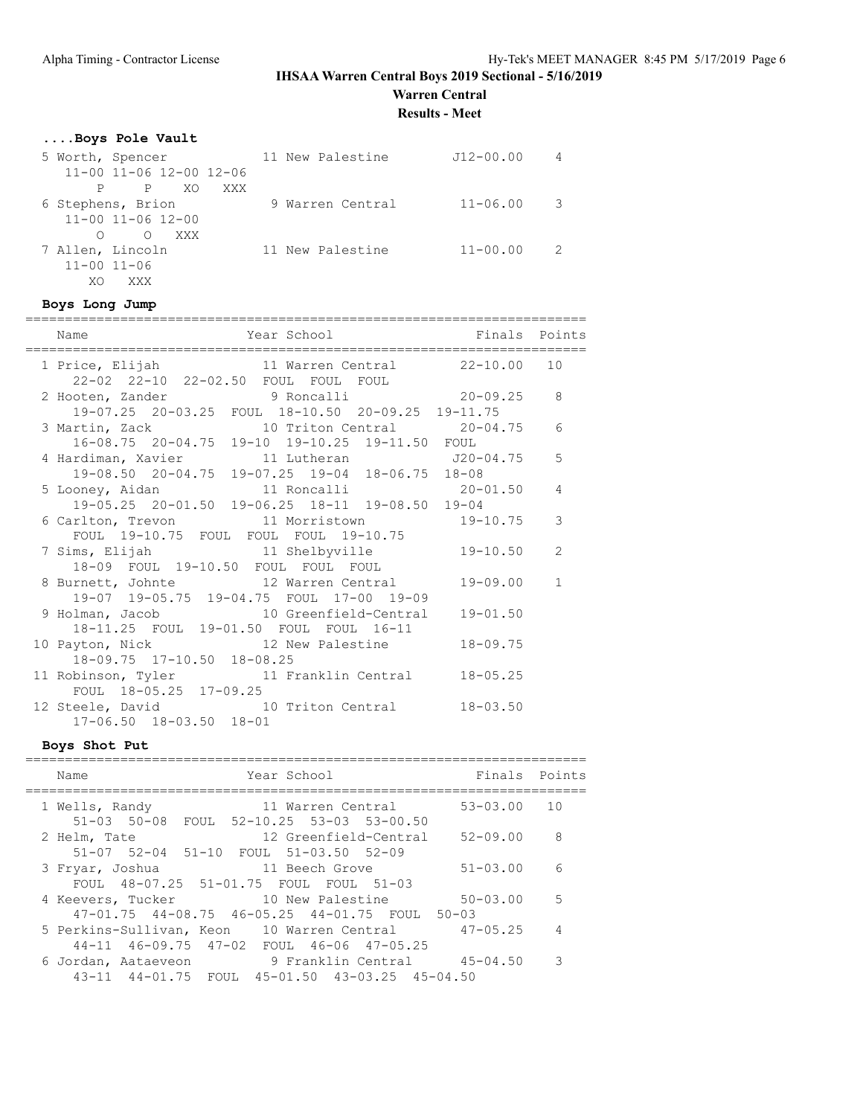**Warren Central**

**Results - Meet**

# **....Boys Pole Vault**

| 5 Worth, Spencer               | 11 New Palestine | $J12 - 00.00$ | 4  |
|--------------------------------|------------------|---------------|----|
| 11-00 11-06 12-00 12-06        |                  |               |    |
| XO.<br>$\mathbf{P}$<br>XXX     |                  |               |    |
| 6 Stephens, Brion              | 9 Warren Central | $11 - 06.00$  | -3 |
| $11 - 00$ $11 - 06$ $12 - 00$  |                  |               |    |
| $\circ$<br>XXX X<br>$\bigcirc$ |                  |               |    |
| 7 Allen, Lincoln               | 11 New Palestine | $11 - 00.00$  | 2  |
| $11 - 00$ $11 - 06$            |                  |               |    |
| XO<br>XXX                      |                  |               |    |

#### **Boys Long Jump**

| Year School<br>Name                                                                       | Finals Points |               |
|-------------------------------------------------------------------------------------------|---------------|---------------|
| 1 Price, Elijah 11 Warren Central 22-10.00 10<br>22-02 22-10 22-02.50 FOUL FOUL FOUL      |               |               |
| 2 Hooten, Zander 9 Roncalli 20-09.25                                                      |               | 8             |
| 19-07.25 20-03.25 FOUL 18-10.50 20-09.25 19-11.75                                         |               |               |
| 3 Martin, Zack 10 Triton Central 20-04.75                                                 |               | 6             |
| 16-08.75 20-04.75 19-10 19-10.25 19-11.50 FOUL                                            |               |               |
| 4 Hardiman, Xavier 11 Lutheran 120-04.75 5                                                |               |               |
| 19-08.50 20-04.75 19-07.25 19-04 18-06.75 18-08                                           |               |               |
|                                                                                           |               |               |
| 5 Looney, Aidan 11 Roncalli 20-01.50 4<br>19-05.25 20-01.50 19-06.25 18-11 19-08.50 19-04 |               |               |
| 6 Carlton, Trevon 11 Morristown 19-10.75 3                                                |               |               |
| FOUL 19-10.75 FOUL FOUL FOUL 19-10.75                                                     |               |               |
| 7 Sims, Elijah 11 Shelbyville                                                             | 19-10.50      | $\mathcal{L}$ |
| 18-09 FOUL 19-10.50 FOUL FOUL FOUL                                                        |               |               |
| 8 Burnett, Johnte 12 Warren Central                                                       | 19-09.00      | $\mathbf{1}$  |
| 19-07 19-05.75 19-04.75 FOUL 17-00 19-09                                                  |               |               |
| 9 Holman, Jacob 10 Greenfield-Central                                                     | $19 - 01.50$  |               |
| 18-11.25 FOUL 19-01.50 FOUL FOUL 16-11                                                    |               |               |
| 10 Payton, Nick 12 New Palestine                                                          | $18 - 09.75$  |               |
| 18-09.75 17-10.50 18-08.25                                                                |               |               |
| 11 Robinson, Tyler 11 Franklin Central                                                    | $18 - 05.25$  |               |
| FOUL 18-05.25 17-09.25                                                                    |               |               |
| 12 Steele, David 10 Triton Central 18-03.50                                               |               |               |
| 17-06.50 18-03.50 18-01                                                                   |               |               |

# **Boys Shot Put**

| Year School<br>Name                                                                                                         | Finals                    | Points         |
|-----------------------------------------------------------------------------------------------------------------------------|---------------------------|----------------|
| 1 Wells, Randy<br>11 Warren Central<br>$51 - 03$ $50 - 08$<br>FOUL 52-10.25 53-03 53-00.50                                  | $53 - 03.00$              | 10             |
| 12 Greenfield-Central<br>2 Helm, Tate<br>51-07 52-04 51-10 FOUL 51-03.50 52-09                                              | $52 - 09.00$              | - 8            |
| 11 Beech Grove<br>3 Fryar, Joshua<br>FOUL 48-07.25 51-01.75 FOUL FOUL 51-03                                                 | $51 - 03.00$              | 6              |
| 4 Keevers, Tucker 10 New Palestine<br>$47-01.75$ $44-08.75$ $46-05.25$ $44-01.75$ FOUL                                      | $50 - 03.00$<br>$50 - 03$ | $-5$           |
| 5 Perkins-Sullivan, Keon 10 Warren Central<br>44-11 46-09.75 47-02 FOUL 46-06 47-05.25                                      | $47 - 05.25$              | $\overline{4}$ |
| 9 Franklin Central         45-04.50<br>6 Jordan, Aataeveon<br>$45 - 01.50$ $43 - 03.25$ $45 - 04.50$<br>43-11 44-01.75 FOUL |                           | 3              |